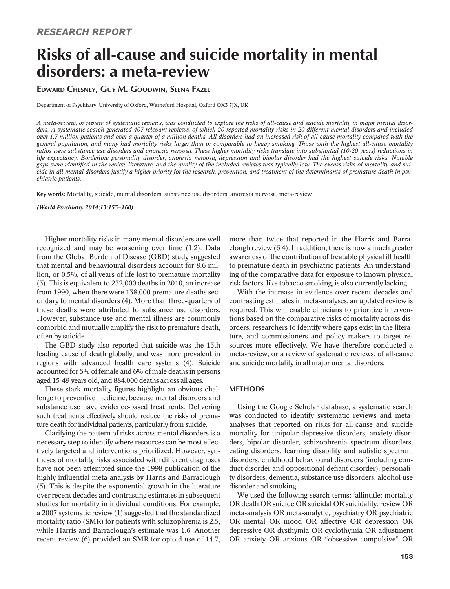# Risks of all-cause and suicide mortality in mental disorders: a meta-review

## EDWARD CHESNEY, GUY M. GOODWIN, SEENA FAZEL

Department of Psychiatry, University of Oxford, Warneford Hospital, Oxford OX3 7JX, UK

A meta-review, or review of systematic reviews, was conducted to explore the risks of all-cause and suicide mortality in major mental disorders. A systematic search generated 407 relevant reviews, of which 20 reported mortality risks in 20 different mental disorders and included over 1.7 million patients and over a quarter of a million deaths. All disorders had an increased risk of all-cause mortality compared with the general population, and many had mortality risks larger than or comparable to heavy smoking. Those with the highest all-cause mortality ratios were substance use disorders and anorexia nervosa. These higher mortality risks translate into substantial (10-20 years) reductions in life expectancy. Borderline personality disorder, anorexia nervosa, depression and bipolar disorder had the highest suicide risks. Notable gaps were identified in the review literature, and the quality of the included reviews was typically low. The excess risks of mortality and suicide in all mental disorders justify a higher priority for the research, prevention, and treatment of the determinants of premature death in psychiatric patients.

Key words: Mortality, suicide, mental disorders, substance use disorders, anorexia nervosa, meta-review

(World Psychiatry 2014;13:153–160)

Higher mortality risks in many mental disorders are well recognized and may be worsening over time (1,2). Data from the Global Burden of Disease (GBD) study suggested that mental and behavioural disorders account for 8.6 million, or 0.5%, of all years of life lost to premature mortality (3). This is equivalent to 232,000 deaths in 2010, an increase from 1990, when there were 138,000 premature deaths secondary to mental disorders (4). More than three-quarters of these deaths were attributed to substance use disorders. However, substance use and mental illness are commonly comorbid and mutually amplify the risk to premature death, often by suicide.

The GBD study also reported that suicide was the 13th leading cause of death globally, and was more prevalent in regions with advanced health care systems (4). Suicide accounted for 5% of female and 6% of male deaths in persons aged 15-49 years old, and 884,000 deaths across all ages.

These stark mortality figures highlight an obvious challenge to preventive medicine, because mental disorders and substance use have evidence-based treatments. Delivering such treatments effectively should reduce the risks of premature death for individual patients, particularly from suicide.

Clarifying the pattern of risks across mental disorders is a necessary step to identify where resources can be most effectively targeted and interventions prioritized. However, syntheses of mortality risks associated with different diagnoses have not been attempted since the 1998 publication of the highly influential meta-analysis by Harris and Barraclough (5). This is despite the exponential growth in the literature over recent decades and contrasting estimates in subsequent studies for mortality in individual conditions. For example, a 2007 systematic review (1) suggested that the standardized mortality ratio (SMR) for patients with schizophrenia is 2.5, while Harris and Barraclough's estimate was 1.6. Another recent review (6) provided an SMR for opioid use of 14.7, more than twice that reported in the Harris and Barraclough review (6.4). In addition, there is now a much greater awareness of the contribution of treatable physical ill health to premature death in psychiatric patients. An understanding of the comparative data for exposure to known physical risk factors, like tobacco smoking, is also currently lacking.

With the increase in evidence over recent decades and contrasting estimates in meta-analyses, an updated review is required. This will enable clinicians to prioritize interventions based on the comparative risks of mortality across disorders, researchers to identify where gaps exist in the literature, and commissioners and policy makers to target resources more effectively. We have therefore conducted a meta-review, or a review of systematic reviews, of all-cause and suicide mortality in all major mental disorders.

### **METHODS**

Using the Google Scholar database, a systematic search was conducted to identify systematic reviews and metaanalyses that reported on risks for all-cause and suicide mortality for unipolar depressive disorders, anxiety disorders, bipolar disorder, schizophrenia spectrum disorders, eating disorders, learning disability and autistic spectrum disorders, childhood behavioural disorders (including conduct disorder and oppositional defiant disorder), personality disorders, dementia, substance use disorders, alcohol use disorder and smoking.

We used the following search terms: 'allintitle: mortality OR death OR suicide OR suicidal OR suicidality, review OR meta-analysis OR meta-analytic, psychiatry OR psychiatric OR mental OR mood OR affective OR depression OR depressive OR dysthymia OR cyclothymia OR adjustment OR anxiety OR anxious OR "obsessive compulsive" OR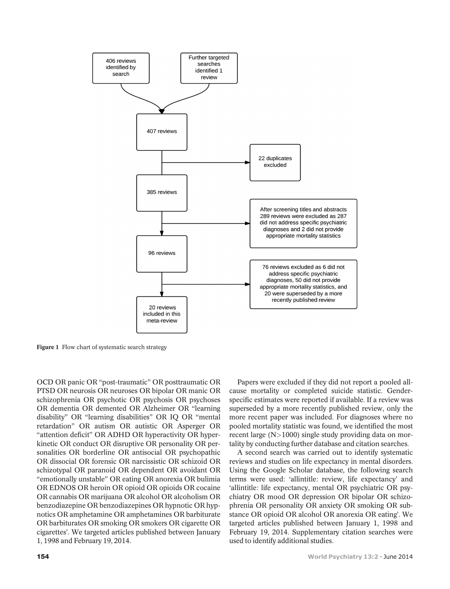

Figure 1 Flow chart of systematic search strategy

OCD OR panic OR "post-traumatic" OR posttraumatic OR PTSD OR neurosis OR neuroses OR bipolar OR manic OR schizophrenia OR psychotic OR psychosis OR psychoses OR dementia OR demented OR Alzheimer OR "learning disability" OR "learning disabilities" OR IQ OR "mental retardation" OR autism OR autistic OR Asperger OR "attention deficit" OR ADHD OR hyperactivity OR hyperkinetic OR conduct OR disruptive OR personality OR personalities OR borderline OR antisocial OR psychopathic OR dissocial OR forensic OR narcissistic OR schizoid OR schizotypal OR paranoid OR dependent OR avoidant OR "emotionally unstable" OR eating OR anorexia OR bulimia OR EDNOS OR heroin OR opioid OR opioids OR cocaine OR cannabis OR marijuana OR alcohol OR alcoholism OR benzodiazepine OR benzodiazepines OR hypnotic OR hypnotics OR amphetamine OR amphetamines OR barbiturate OR barbiturates OR smoking OR smokers OR cigarette OR cigarettes'. We targeted articles published between January 1, 1998 and February 19, 2014.

Papers were excluded if they did not report a pooled allcause mortality or completed suicide statistic. Genderspecific estimates were reported if available. If a review was superseded by a more recently published review, only the more recent paper was included. For diagnoses where no pooled mortality statistic was found, we identified the most recent large (N>1000) single study providing data on mortality by conducting further database and citation searches.

A second search was carried out to identify systematic reviews and studies on life expectancy in mental disorders. Using the Google Scholar database, the following search terms were used: 'allintitle: review, life expectancy' and 'allintitle: life expectancy, mental OR psychiatric OR psychiatry OR mood OR depression OR bipolar OR schizophrenia OR personality OR anxiety OR smoking OR substance OR opioid OR alcohol OR anorexia OR eating'. We targeted articles published between January 1, 1998 and February 19, 2014. Supplementary citation searches were used to identify additional studies.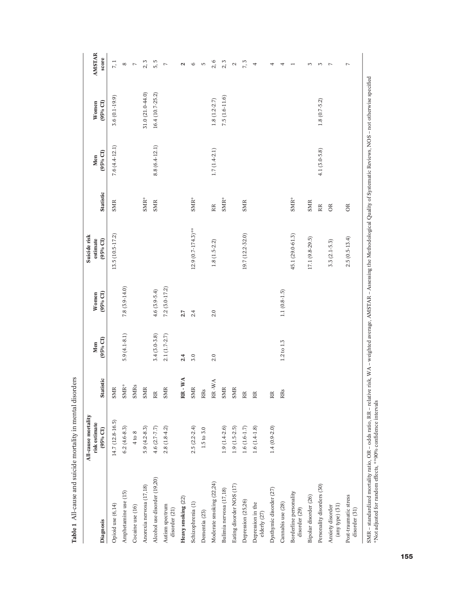| <b>Diagnosis</b>                        | All-cause mortality<br>risk estimate<br>$(95\% \text{ CI})$ | <b>Statistic</b>  | $(95\%$ CI)<br>Men   | $(95\%$ CI)<br>Women | Suicide risk<br>estimate<br>$(95\% \text{ CI})$ | <b>Statistic</b> | $(95\%$ CI)<br>Men | $(95\%$ CI)<br>Women | <b>AMSTAR</b><br>score |
|-----------------------------------------|-------------------------------------------------------------|-------------------|----------------------|----------------------|-------------------------------------------------|------------------|--------------------|----------------------|------------------------|
| Opioid use (6,14)                       | 14.7 (12.8-16.5)                                            | <b>SMR</b>        |                      |                      | 13.5 (10.5-17.2)                                | <b>SMR</b>       | $7.6(4.4-12.1)$    | $3.6(0.1-19.9)$      | 7,1                    |
| Amphetamine use (15)                    | $6.2(4.6-8.3)$                                              | $\text{SMR}^*$    | $5.9(4.1 - 8.1)$     | $7.8(3.9-14.0)$      |                                                 |                  |                    |                      | ${}^{\circ}$           |
| Cocaine use (16)                        | $4 \text{ to } 8$                                           | <b>SMRs</b>       |                      |                      |                                                 |                  |                    |                      | $\overline{ }$         |
| Anorexia nervosa (17,18)                | $5.9(4.2-8.3)$                                              | <b>SMR</b>        |                      |                      |                                                 | $\text{SMR}^*$   |                    | 31.0 (21.0-44.0)     | 2, 3                   |
| Alcohol use disorder (19,20)            | $4.6(2.7 - 7.7)$                                            | <b>RR</b>         | $3.4(3.0-3.8)$       | $4.6(3.9 - 5.4)$     |                                                 | <b>SMR</b>       | 8.8 (6.4-12.1)     | 16.4 (10.7-25.2)     | 5,5                    |
| Autism spectrum<br>disorder (21)        | $2.8(1.8-4.2)$                                              | <b>SMR</b>        | $2.1(1.7-2.7)$       | $7.2(3.0 - 17.2)$    |                                                 |                  |                    |                      | L                      |
| Heavy smoking (22)                      |                                                             | ⋖<br>$RR - W$     | 2.4                  | 2.7                  |                                                 |                  |                    |                      | $\mathbf{a}$           |
| Schizophrenia (1)                       | $2.5(2.2-2.4)$                                              | <b>SMR</b>        | 5.0                  | 2.4                  | $12.9(0.7 - 174.3)$ **                          | $\text{SMR}^*$   |                    |                      | 6                      |
| Dementia (23)                           | $1.5$ to $3.0\,$                                            | <b>RRs</b>        |                      |                      |                                                 |                  |                    |                      | S                      |
| Moderate smoking (22,24)                |                                                             | $\mathbf{RR}$ -WA | 2.0                  | 2.0                  | $1.8(1.5-2.2)$                                  | RR               | $1.7(1.4-2.1)$     | $1.8(1.2 - 2.7)$     | 2, 6                   |
| Bulimia nervosa (17,18)                 | $1.9(1.4-2.6)$                                              | <b>SMR</b>        |                      |                      |                                                 | $\text{SMR}^*$   |                    | $7.5(1.6-11.6)$      | 2, 3                   |
| Eating disorder NOS (17)                | $1.9(1.5-2.5)$                                              | <b>SMR</b>        |                      |                      |                                                 |                  |                    |                      | $\mathbb{C}^2$         |
| Depression (25,26)                      | $1.6(1.6-1.7)$                                              | <b>RR</b>         |                      |                      | 19.7 (12.2-32.0)                                | <b>SMR</b>       |                    |                      | 7, 3                   |
| Depression in the<br>elderly (27)       | $1.6(1.4-1.8)$                                              | RR                |                      |                      |                                                 |                  |                    |                      | 4                      |
| Dysthymic disorder (27)                 | $1.4(0.9-2.0)$                                              | RR                |                      |                      |                                                 |                  |                    |                      | 4                      |
| Cannabis use (28)                       |                                                             | <b>RRs</b>        | 1.2 to 1.3           | $1.1(0.8-1.5)$       |                                                 |                  |                    |                      | 4                      |
| Borderline personality<br>disorder (29) |                                                             |                   |                      |                      | 45.1 (29.0-61.3)                                | $\text{SMR}^*$   |                    |                      |                        |
| Bipolar disorder (26)                   |                                                             |                   |                      |                      | 17.1 (9.8-29.5)                                 | <b>SMR</b>       |                    |                      | 2                      |
| Personality disorders (30)              |                                                             |                   |                      |                      |                                                 | RR               | $4.1(3.0-5.8)$     | $1.8(0.7 - 5.2)$     | 5                      |
| (any type) (31)<br>Anxiety disorder     |                                                             |                   |                      |                      | $3.3(2.1-5.3)$                                  | OR               |                    |                      | $\overline{ }$         |
| Post-traumatic stress<br>disorder (31)  |                                                             |                   |                      |                      | $2.5(0.5-13.4)$                                 | OR               |                    |                      | $\overline{ }$         |
|                                         |                                                             |                   | $\ddot{\phantom{0}}$ |                      | $\ddot{\phantom{0}}$<br>t                       | ÷                |                    |                      | $\ddot{\cdot}$         |

Table 1 All-cause and suicide mortality in mental disorders Table 1 All-cause and suicide mortality in mental disorders

SMR – standardized mortality ratio, OR – odds ratio, RR – relative risk, WA – weighted average, AMSTAR – Assessing the Methodological Quality of Systematic Reviews, NOS – not otherwise specified<br>\*Not adjusted for random ef SMR – standardized mortality ratio, OR – odds ratio, RR – relative risk, WA – weighted average, AMSTAR – Assessing the Methodological Quality of Systematic Reviews, NOS – not otherwise specified \*Not adjusted for random effects, \*\*90% confidence intervals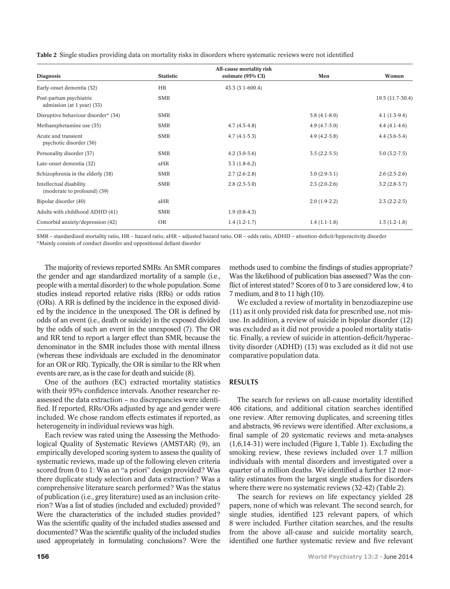Table 2 Single studies providing data on mortality risks in disorders where systematic reviews were not identified

|                                                        |                  | All-cause mortality risk     |                |                  |
|--------------------------------------------------------|------------------|------------------------------|----------------|------------------|
| <b>Diagnosis</b>                                       | <b>Statistic</b> | estimate $(95\% \text{ CI})$ | Men            | Women            |
| Early-onset dementia (32)                              | HR               | $43.3(3.1 - 600.4)$          |                |                  |
| Post-partum psychiatric<br>admission (at 1 year) (33)  | <b>SMR</b>       |                              |                | 19.5 (11.7-30.4) |
| Disruptive behaviour disorder* (34)                    | <b>SMR</b>       |                              | $5.8(4.1-8.0)$ | $4.1(1.3-9.4)$   |
| Methamphetamine use (35)                               | <b>SMR</b>       | $4.7(4.5-4.8)$               | $4.9(4.7-5.0)$ | $4.4(4.1-4.6)$   |
| Acute and transient<br>psychotic disorder (36)         | <b>SMR</b>       | $4.7(4.1-5.3)$               | $4.9(4.2-5.8)$ | $4.4(3.6-5.4)$   |
| Personality disorder (37)                              | <b>SMR</b>       | $4.2(3.0-5.6)$               | $3.5(2.2-5.5)$ | $5.0(3.2-7.5)$   |
| Late-onset dementia (32)                               | aHR              | $3.3(1.8-6.2)$               |                |                  |
| Schizophrenia in the elderly (38)                      | <b>SMR</b>       | $2.7(2.6-2.8)$               | $3.0(2.9-3.1)$ | $2.6(2.5-2.6)$   |
| Intellectual disability<br>(moderate to profound) (39) | <b>SMR</b>       | $2.8(2.5-3.0)$               | $2.3(2.0-2.6)$ | $3.2(2.8-3.7)$   |
| Bipolar disorder (40)                                  | aHR              |                              | $2.0(1.9-2.2)$ | $2.3(2.2-2.5)$   |
| Adults with childhood ADHD (41)                        | <b>SMR</b>       | $1.9(0.8-4.3)$               |                |                  |
| Comorbid anxiety/depression (42)                       | <b>OR</b>        | $1.4(1.2-1.7)$               | $1.4(1.1-1.8)$ | $1.5(1.2-1.8)$   |

SMR – standardized mortality ratio, HR – hazard ratio, aHR – adjusted hazard ratio, OR – odds ratio, ADHD – attention-deficit/hyperactivity disorder \*Mainly consists of conduct disorder and oppositional defiant disorder

The majority of reviews reported SMRs. An SMR compares the gender and age standardized mortality of a sample (i.e., people with a mental disorder) to the whole population. Some studies instead reported relative risks (RRs) or odds ratios (ORs). A RR is defined by the incidence in the exposed divided by the incidence in the unexposed. The OR is defined by odds of an event (i.e., death or suicide) in the exposed divided by the odds of such an event in the unexposed (7). The OR and RR tend to report a larger effect than SMR, because the denominator in the SMR includes those with mental illness (whereas these individuals are excluded in the denominator for an OR or RR). Typically, the OR is similar to the RR when events are rare, as is the case for death and suicide (8).

One of the authors (EC) extracted mortality statistics with their 95% confidence intervals. Another researcher reassessed the data extraction – no discrepancies were identified. If reported, RRs/ORs adjusted by age and gender were included. We chose random effects estimates if reported, as heterogeneity in individual reviews was high.

Each review was rated using the Assessing the Methodological Quality of Systematic Reviews (AMSTAR) (9), an empirically developed scoring system to assess the quality of systematic reviews, made up of the following eleven criteria scored from 0 to 1: Was an "a priori" design provided? Was there duplicate study selection and data extraction? Was a comprehensive literature search performed? Was the status of publication (i.e., grey literature) used as an inclusion criterion? Was a list of studies (included and excluded) provided? Were the characteristics of the included studies provided? Was the scientific quality of the included studies assessed and documented? Was the scientific quality of the included studies used appropriately in formulating conclusions? Were the methods used to combine the findings of studies appropriate? Was the likelihood of publication bias assessed? Was the conflict of interest stated? Scores of 0 to 3 are considered low, 4 to 7 medium, and 8 to 11 high (10).

We excluded a review of mortality in benzodiazepine use (11) as it only provided risk data for prescribed use, not misuse. In addition, a review of suicide in bipolar disorder (12) was excluded as it did not provide a pooled mortality statistic. Finally, a review of suicide in attention-deficit/hyperactivity disorder (ADHD) (13) was excluded as it did not use comparative population data.

#### RESULTS

The search for reviews on all-cause mortality identified 406 citations, and additional citation searches identified one review. After removing duplicates, and screening titles and abstracts, 96 reviews were identified. After exclusions, a final sample of 20 systematic reviews and meta-analyses (1,6,14-31) were included (Figure 1, Table 1). Excluding the smoking review, these reviews included over 1.7 million individuals with mental disorders and investigated over a quarter of a million deaths. We identified a further 12 mortality estimates from the largest single studies for disorders where there were no systematic reviews (32-42) (Table 2).

The search for reviews on life expectancy yielded 28 papers, none of which was relevant. The second search, for single studies, identified 123 relevant papers, of which 8 were included. Further citation searches, and the results from the above all-cause and suicide mortality search, identified one further systematic review and five relevant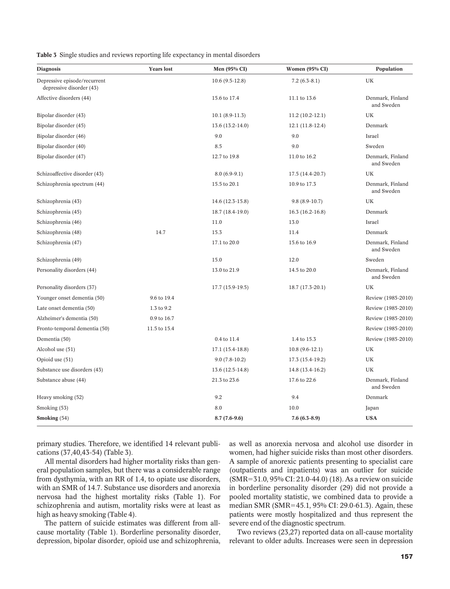Table 3 Single studies and reviews reporting life expectancy in mental disorders

| <b>Diagnosis</b>                                         | <b>Years</b> lost | Men (95% CI)      | Women (95% CI)    | Population                     |
|----------------------------------------------------------|-------------------|-------------------|-------------------|--------------------------------|
| Depressive episode/recurrent<br>depressive disorder (43) |                   | $10.6(9.5-12.8)$  | $7.2(6.3-8.1)$    | UK                             |
| Affective disorders (44)                                 |                   | 15.6 to 17.4      | 11.1 to 13.6      | Denmark, Finland<br>and Sweden |
| Bipolar disorder (43)                                    |                   | $10.1(8.9-11.3)$  | $11.2(10.2-12.1)$ | UK                             |
| Bipolar disorder (45)                                    |                   | 13.6 (13.2-14.0)  | $12.1(11.8-12.4)$ | Denmark                        |
| Bipolar disorder (46)                                    |                   | 9.0               | 9.0               | Israel                         |
| Bipolar disorder (40)                                    |                   | 8.5               | 9.0               | Sweden                         |
| Bipolar disorder (47)                                    |                   | 12.7 to 19.8      | 11.0 to 16.2      | Denmark, Finland<br>and Sweden |
| Schizoaffective disorder (43)                            |                   | $8.0(6.9-9.1)$    | 17.5 (14.4-20.7)  | UK                             |
| Schizophrenia spectrum (44)                              |                   | 15.5 to 20.1      | 10.9 to 17.3      | Denmark, Finland<br>and Sweden |
| Schizophrenia (43)                                       |                   | 14.6 (12.3-15.8)  | $9.8(8.9-10.7)$   | UK                             |
| Schizophrenia (45)                                       |                   | 18.7 (18.4-19.0)  | $16.3(16.2-16.8)$ | Denmark                        |
| Schizophrenia (46)                                       |                   | 11.0              | 13.0              | Israel                         |
| Schizophrenia (48)                                       | 14.7              | 15.3              | 11.4              | Denmark                        |
| Schizophrenia (47)                                       |                   | 17.1 to 20.0      | 15.6 to 16.9      | Denmark, Finland<br>and Sweden |
| Schizophrenia (49)                                       |                   | 15.0              | 12.0              | Sweden                         |
| Personality disorders (44)                               |                   | 13.0 to 21.9      | 14.5 to 20.0      | Denmark, Finland<br>and Sweden |
| Personality disorders (37)                               |                   | 17.7 (15.9-19.5)  | 18.7 (17.3-20.1)  | UK                             |
| Younger onset dementia (50)                              | 9.6 to 19.4       |                   |                   | Review (1985-2010)             |
| Late onset dementia (50)                                 | 1.3 to 9.2        |                   |                   | Review (1985-2010)             |
| Alzheimer's dementia (50)                                | 0.9 to 16.7       |                   |                   | Review (1985-2010)             |
| Fronto-temporal dementia (50)                            | 11.5 to 15.4      |                   |                   | Review (1985-2010)             |
| Dementia (50)                                            |                   | 0.4 to 11.4       | 1.4 to 15.3       | Review (1985-2010)             |
| Alcohol use (51)                                         |                   | $17.1(15.4-18.8)$ | $10.8(9.6-12.1)$  | UK                             |
| Opioid use (51)                                          |                   | $9.0(7.8-10.2)$   | 17.3 (15.4-19.2)  | UK                             |
| Substance use disorders (43)                             |                   | 13.6 (12.5-14.8)  | 14.8 (13.4-16.2)  | UK                             |
| Substance abuse (44)                                     |                   | 21.3 to 23.6      | 17.6 to 22.6      | Denmark, Finland<br>and Sweden |
| Heavy smoking (52)                                       |                   | 9.2               | 9.4               | Denmark                        |
| Smoking (53)                                             |                   | 8.0               | 10.0              | Japan                          |
| Smoking (54)                                             |                   | $8.7(7.6-9.6)$    | $7.6(6.3-8.9)$    | <b>USA</b>                     |

primary studies. Therefore, we identified 14 relevant publications (37,40,43-54) (Table 3).

All mental disorders had higher mortality risks than general population samples, but there was a considerable range from dysthymia, with an RR of 1.4, to opiate use disorders, with an SMR of 14.7. Substance use disorders and anorexia nervosa had the highest mortality risks (Table 1). For schizophrenia and autism, mortality risks were at least as high as heavy smoking (Table 4).

The pattern of suicide estimates was different from allcause mortality (Table 1). Borderline personality disorder, depression, bipolar disorder, opioid use and schizophrenia, as well as anorexia nervosa and alcohol use disorder in women, had higher suicide risks than most other disorders. A sample of anorexic patients presenting to specialist care (outpatients and inpatients) was an outlier for suicide  $(SMR=31.0, 95\% \text{ CI: } 21.0-44.0)$  (18). As a review on suicide in borderline personality disorder (29) did not provide a pooled mortality statistic, we combined data to provide a median SMR (SMR=45.1, 95% CI: 29.0-61.3). Again, these patients were mostly hospitalized and thus represent the severe end of the diagnostic spectrum.

Two reviews (23,27) reported data on all-cause mortality relevant to older adults. Increases were seen in depression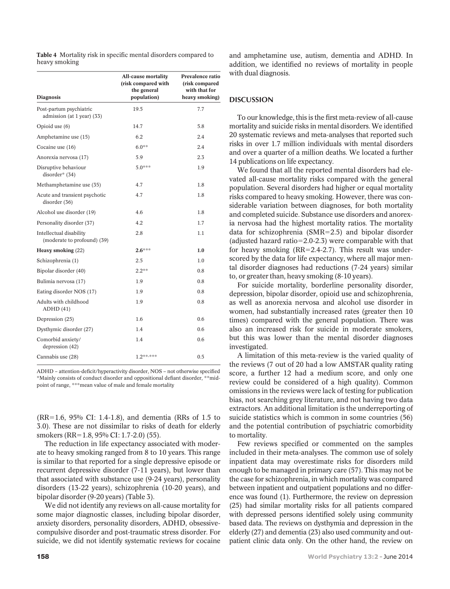|               |  |  | Table 4 Mortality risk in specific mental disorders compared to |
|---------------|--|--|-----------------------------------------------------------------|
| heavy smoking |  |  |                                                                 |

| <b>Diagnosis</b>                                       | <b>All-cause mortality</b><br>(risk compared with<br>the general<br>population) | Prevalence ratio<br>(risk compared<br>with that for<br>heavy smoking) |
|--------------------------------------------------------|---------------------------------------------------------------------------------|-----------------------------------------------------------------------|
| Post-partum psychiatric<br>admission (at 1 year) (33)  | 19.5                                                                            | 7.7                                                                   |
| Opioid use (6)                                         | 14.7                                                                            | 5.8                                                                   |
| Amphetamine use (15)                                   | 6.2                                                                             | 2.4                                                                   |
| Cocaine use (16)                                       | $6.0**$                                                                         | 2.4                                                                   |
| Anorexia nervosa (17)                                  | 5.9                                                                             | 2.3                                                                   |
| Disruptive behaviour<br>disorder* $(34)$               | $5.0***$                                                                        | 1.9                                                                   |
| Methamphetamine use (35)                               | 4.7                                                                             | 1.8                                                                   |
| Acute and transient psychotic<br>disorder (36)         | 4.7                                                                             | 1.8                                                                   |
| Alcohol use disorder (19)                              | 4.6                                                                             | 1.8                                                                   |
| Personality disorder (37)                              | 4.2                                                                             | 1.7                                                                   |
| Intellectual disability<br>(moderate to profound) (39) | 2.8                                                                             | 1.1                                                                   |
| Heavy smoking (22)                                     | $2.6***$                                                                        | 1.0                                                                   |
| Schizophrenia (1)                                      | 2.5                                                                             | 1.0                                                                   |
| Bipolar disorder (40)                                  | $2.2**$                                                                         | 0.8                                                                   |
| Bulimia nervosa (17)                                   | 1.9                                                                             | 0.8                                                                   |
| Eating disorder NOS (17)                               | 1.9                                                                             | 0.8                                                                   |
| Adults with childhood<br>ADHD(41)                      | 1.9                                                                             | 0.8                                                                   |
| Depression (25)                                        | 1.6                                                                             | 0.6                                                                   |
| Dysthymic disorder (27)                                | 1.4                                                                             | 0.6                                                                   |
| Comorbid anxiety/<br>depression (42)                   | 1.4                                                                             | 0.6                                                                   |
| Cannabis use (28)                                      | $1.2***$                                                                        | 0.5                                                                   |

ADHD – attention-deficit/hyperactivity disorder, NOS – not otherwise specified \*Mainly consists of conduct disorder and oppositional defiant disorder, \*\*midpoint of range, \*\*\*mean value of male and female mortality

 $(RR=1.6, 95% \text{ CI: } 1.4-1.8)$ , and dementia (RRs of 1.5 to 3.0). These are not dissimilar to risks of death for elderly smokers (RR=1.8, 95% CI: 1.7-2.0) (55).

The reduction in life expectancy associated with moderate to heavy smoking ranged from 8 to 10 years. This range is similar to that reported for a single depressive episode or recurrent depressive disorder (7-11 years), but lower than that associated with substance use (9-24 years), personality disorders (13-22 years), schizophrenia (10-20 years), and bipolar disorder (9-20 years) (Table 3).

We did not identify any reviews on all-cause mortality for some major diagnostic classes, including bipolar disorder, anxiety disorders, personality disorders, ADHD, obsessivecompulsive disorder and post-traumatic stress disorder. For suicide, we did not identify systematic reviews for cocaine and amphetamine use, autism, dementia and ADHD. In addition, we identified no reviews of mortality in people with dual diagnosis.

#### **DISCUSSION**

To our knowledge, this is the first meta-review of all-cause mortality and suicide risks in mental disorders. We identified 20 systematic reviews and meta-analyses that reported such risks in over 1.7 million individuals with mental disorders and over a quarter of a million deaths. We located a further 14 publications on life expectancy.

We found that all the reported mental disorders had elevated all-cause mortality risks compared with the general population. Several disorders had higher or equal mortality risks compared to heavy smoking. However, there was considerable variation between diagnoses, for both mortality and completed suicide. Substance use disorders and anorexia nervosa had the highest mortality ratios. The mortality data for schizophrenia  $(SMR=2.5)$  and bipolar disorder (adjusted hazard ratio=2.0-2.3) were comparable with that for heavy smoking  $(RR=2.4-2.7)$ . This result was underscored by the data for life expectancy, where all major mental disorder diagnoses had reductions (7-24 years) similar to, or greater than, heavy smoking (8-10 years).

For suicide mortality, borderline personality disorder, depression, bipolar disorder, opioid use and schizophrenia, as well as anorexia nervosa and alcohol use disorder in women, had substantially increased rates (greater then 10 times) compared with the general population. There was also an increased risk for suicide in moderate smokers, but this was lower than the mental disorder diagnoses investigated.

A limitation of this meta-review is the varied quality of the reviews (7 out of 20 had a low AMSTAR quality rating score, a further 12 had a medium score, and only one review could be considered of a high quality). Common omissions in the reviews were lack of testing for publication bias, not searching grey literature, and not having two data extractors. An additional limitation is the underreporting of suicide statistics which is common in some countries (56) and the potential contribution of psychiatric comorbidity to mortality.

Few reviews specified or commented on the samples included in their meta-analyses. The common use of solely inpatient data may overestimate risks for disorders mild enough to be managed in primary care (57). This may not be the case for schizophrenia, in which mortality was compared between inpatient and outpatient populations and no difference was found (1). Furthermore, the review on depression (25) had similar mortality risks for all patients compared with depressed persons identified solely using community based data. The reviews on dysthymia and depression in the elderly (27) and dementia (23) also used community and outpatient clinic data only. On the other hand, the review on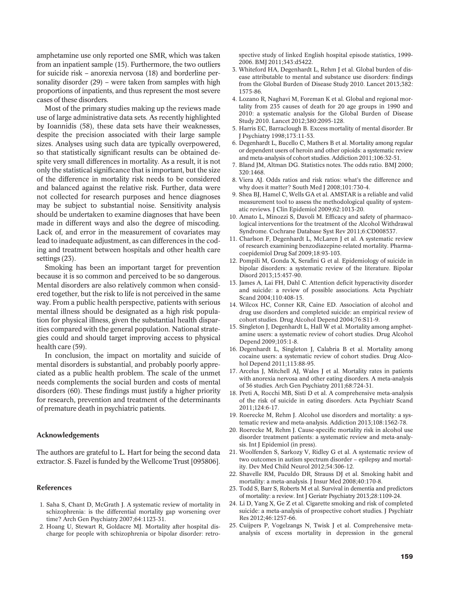amphetamine use only reported one SMR, which was taken from an inpatient sample (15). Furthermore, the two outliers for suicide risk – anorexia nervosa (18) and borderline personality disorder (29) – were taken from samples with high proportions of inpatients, and thus represent the most severe cases of these disorders.

Most of the primary studies making up the reviews made use of large administrative data sets. As recently highlighted by Ioannidis (58), these data sets have their weaknesses, despite the precision associated with their large sample sizes. Analyses using such data are typically overpowered, so that statistically significant results can be obtained despite very small differences in mortality. As a result, it is not only the statistical significance that is important, but the size of the difference in mortality risk needs to be considered and balanced against the relative risk. Further, data were not collected for research purposes and hence diagnoses may be subject to substantial noise. Sensitivity analysis should be undertaken to examine diagnoses that have been made in different ways and also the degree of miscoding. Lack of, and error in the measurement of covariates may lead to inadequate adjustment, as can differences in the coding and treatment between hospitals and other health care settings (23).

Smoking has been an important target for prevention because it is so common and perceived to be so dangerous. Mental disorders are also relatively common when considered together, but the risk to life is not perceived in the same way. From a public health perspective, patients with serious mental illness should be designated as a high risk population for physical illness, given the substantial health disparities compared with the general population. National strategies could and should target improving access to physical health care (59).

In conclusion, the impact on mortality and suicide of mental disorders is substantial, and probably poorly appreciated as a public health problem. The scale of the unmet needs complements the social burden and costs of mental disorders (60). These findings must justify a higher priority for research, prevention and treatment of the determinants of premature death in psychiatric patients.

#### Acknowledgements

The authors are grateful to L. Hart for being the second data extractor. S. Fazel is funded by the Wellcome Trust [095806].

#### References

- 1. Saha S, Chant D, McGrath J. A systematic review of mortality in schizophrenia: is the differential mortality gap worsening over time? Arch Gen Psychiatry 2007;64:1123-31.
- 2. Hoang U, Stewart R, Goldacre MJ. Mortality after hospital discharge for people with schizophrenia or bipolar disorder: retro-

spective study of linked English hospital episode statistics, 1999- 2006. BMJ 2011;343:d5422.

- 3. Whiteford HA, Degenhardt L, Rehm J et al. Global burden of disease attributable to mental and substance use disorders: findings from the Global Burden of Disease Study 2010. Lancet 2013;382: 1575-86.
- 4. Lozano R, Naghavi M, Foreman K et al. Global and regional mortality from 235 causes of death for 20 age groups in 1990 and 2010: a systematic analysis for the Global Burden of Disease Study 2010. Lancet 2012;380:2095-128.
- 5. Harris EC, Barraclough B. Excess mortality of mental disorder. Br J Psychiatry 1998;173:11-53.
- 6. Degenhardt L, Bucello C, Mathers B et al. Mortality among regular or dependent users of heroin and other opioids: a systematic review and meta-analysis of cohort studies. Addiction 2011;106:32-51.
- 7. Bland JM, Altman DG. Statistics notes. The odds ratio. BMJ 2000; 320:1468.
- 8. Viera AJ. Odds ratios and risk ratios: what's the difference and why does it matter? South Med J 2008;101:730-4.
- 9. Shea BJ, Hamel C, Wells GA et al. AMSTAR is a reliable and valid measurement tool to assess the methodological quality of systematic reviews. J Clin Epidemiol 2009;62:1013-20.
- 10. Amato L, Minozzi S, Davoli M. Efficacy and safety of pharmacological interventions for the treatment of the Alcohol Withdrawal Syndrome. Cochrane Database Syst Rev 2011;6:CD008537.
- 11. Charlson F, Degenhardt L, McLaren J et al. A systematic review of research examining benzodiazepine-related mortality. Pharmacoepidemiol Drug Saf 2009;18:93-103.
- 12. Pompili M, Gonda X, Serafini G et al. Epidemiology of suicide in bipolar disorders: a systematic review of the literature. Bipolar Disord 2013;15:457-90.
- 13. James A, Lai FH, Dahl C. Attention deficit hyperactivity disorder and suicide: a review of possible associations. Acta Psychiatr Scand 2004;110:408-15.
- 14. Wilcox HC, Conner KR, Caine ED. Association of alcohol and drug use disorders and completed suicide: an empirical review of cohort studies. Drug Alcohol Depend 2004;76:S11-9.
- 15. Singleton J, Degenhardt L, Hall W et al. Mortality among amphetamine users: a systematic review of cohort studies. Drug Alcohol Depend 2009;105:1-8.
- 16. Degenhardt L, Singleton J, Calabria B et al. Mortality among cocaine users: a systematic review of cohort studies. Drug Alcohol Depend 2011;113:88-95.
- 17. Arcelus J, Mitchell AJ, Wales J et al. Mortality rates in patients with anorexia nervosa and other eating disorders. A meta-analysis of 36 studies. Arch Gen Psychiatry 2011;68:724-31.
- 18. Preti A, Rocchi MB, Sisti D et al. A comprehensive meta-analysis of the risk of suicide in eating disorders. Acta Psychiatr Scand 2011;124:6-17.
- 19. Roerecke M, Rehm J. Alcohol use disorders and mortality: a systematic review and meta-analysis. Addiction 2013;108:1562-78.
- 20. Roerecke M, Rehm J. Cause-specific mortality risk in alcohol use disorder treatment patients: a systematic review and meta-analysis. Int J Epidemiol (in press).
- 21. Woolfenden S, Sarkozy V, Ridley G et al. A systematic review of two outcomes in autism spectrum disorder – epilepsy and mortality. Dev Med Child Neurol 2012;54:306-12.
- 22. Shavelle RM, Paculdo DR, Strauss DJ et al. Smoking habit and mortality: a meta-analysis. J Insur Med 2008;40:170-8.
- 23. Todd S, Barr S, Roberts M et al. Survival in dementia and predictors of mortality: a review. Int J Geriatr Psychiatry 2013;28:1109-24.
- 24. Li D, Yang X, Ge Z et al. Cigarette smoking and risk of completed suicide: a meta-analysis of prospective cohort studies. J Psychiatr Res 2012;46:1257-66.
- 25. Cuijpers P, Vogelzangs N, Twisk J et al. Comprehensive metaanalysis of excess mortality in depression in the general